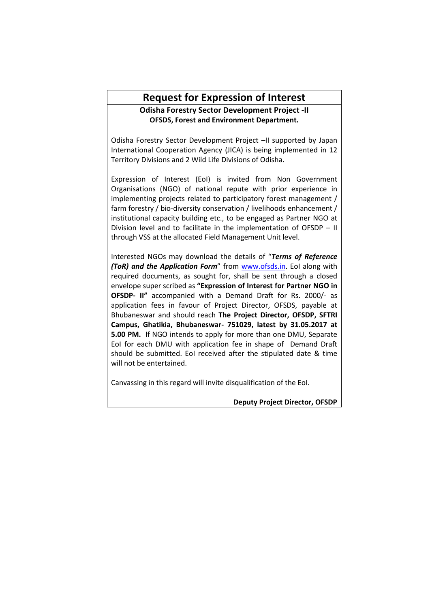# **Request for Expression of Interest**

# **Odisha Forestry Sector Development Project -II OFSDS, Forest and Environment Department.**

Odisha Forestry Sector Development Project –II supported by Japan International Cooperation Agency (JICA) is being implemented in 12 Territory Divisions and 2 Wild Life Divisions of Odisha.

Expression of Interest (EoI) is invited from Non Government Organisations (NGO) of national repute with prior experience in implementing projects related to participatory forest management / farm forestry / bio-diversity conservation / livelihoods enhancement / institutional capacity building etc., to be engaged as Partner NGO at Division level and to facilitate in the implementation of OFSDP – II through VSS at the allocated Field Management Unit level.

Interested NGOs may download the details of "*Terms of Reference (ToR) and the Application Form*" from www.ofsds.in. EoI along with required documents, as sought for, shall be sent through a closed envelope super scribed as **"Expression of Interest for Partner NGO in OFSDP- II"** accompanied with a Demand Draft for Rs. 2000/- as application fees in favour of Project Director, OFSDS, payable at Bhubaneswar and should reach **The Project Director, OFSDP, SFTRI Campus, Ghatikia, Bhubaneswar- 751029, latest by 31.05.2017 at 5.00 PM.** If NGO intends to apply for more than one DMU, Separate EoI for each DMU with application fee in shape of Demand Draft should be submitted. EoI received after the stipulated date & time will not be entertained.

Canvassing in this regard will invite disqualification of the EoI.

**Deputy Project Director, OFSDP**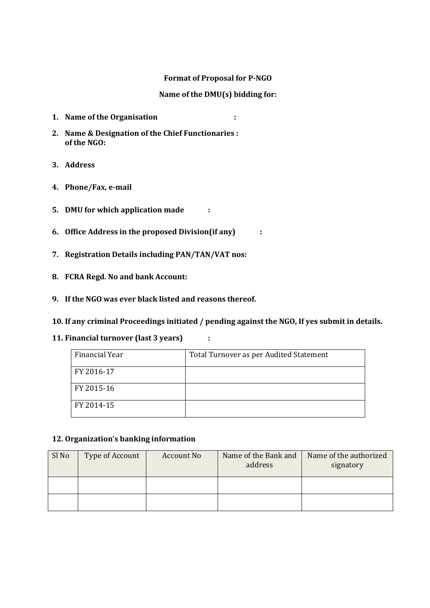# **Format of Proposal for P-NGO**

# **Name of the DMU(s) bidding for:**

- **1. Name of the Organisation :**
- **2. Name & Designation of the Chief Functionaries : of the NGO:**
- **3. Address**
- **4. Phone/Fax, e-mail**
- **5. DMU for which application made :**
- **6. Office Address in the proposed Division(if any) :**
- **7. Registration Details including PAN/TAN/VAT nos:**
- **8. FCRA Regd. No and bank Account:**
- **9. If the NGO was ever black listed and reasons thereof.**
- **10. If any criminal Proceedings initiated / pending against the NGO, If yes submit in details.**
- **11. Financial turnover (last 3 years) :**

| Financial Year | Total Turnover as per Audited Statement |
|----------------|-----------------------------------------|
| FY 2016-17     |                                         |
| FY 2015-16     |                                         |
| FY 2014-15     |                                         |

## **12. Organization's banking information**

| Sl No | Type of Account | <b>Account No</b> | Name of the Bank and<br>address | Name of the authorized<br>signatory |
|-------|-----------------|-------------------|---------------------------------|-------------------------------------|
|       |                 |                   |                                 |                                     |
|       |                 |                   |                                 |                                     |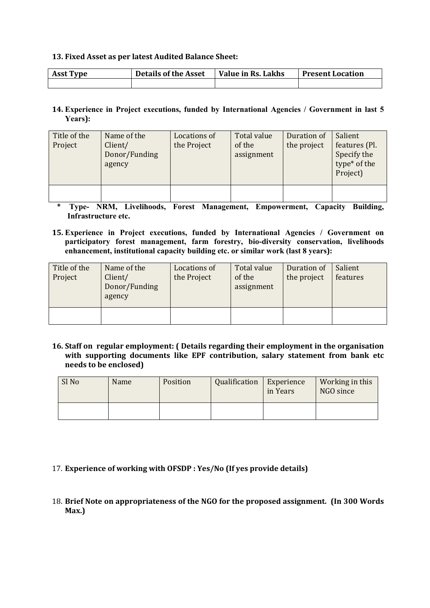## **13. Fixed Asset as per latest Audited Balance Sheet:**

| <b>Asst Type</b> | <b>Details of the Asset</b> | Value in Rs. Lakhs | <b>Present Location</b> |
|------------------|-----------------------------|--------------------|-------------------------|
|                  |                             |                    |                         |

# **14. Experience in Project executions, funded by International Agencies / Government in last 5 Years):**

| Title of the<br>Project | Name of the<br>Client/<br>Donor/Funding<br>agency | Locations of<br>the Project | Total value<br>of the<br>assignment | Duration of<br>the project | Salient<br>features (Pl.<br>Specify the<br>type* of the<br>Project) |
|-------------------------|---------------------------------------------------|-----------------------------|-------------------------------------|----------------------------|---------------------------------------------------------------------|
|                         |                                                   |                             |                                     |                            |                                                                     |

**\* Type- NRM, Livelihoods, Forest Management, Empowerment, Capacity Building, Infrastructure etc.**

**15. Experience in Project executions, funded by International Agencies / Government on participatory forest management, farm forestry, bio-diversity conservation, livelihoods enhancement, institutional capacity building etc. or similar work (last 8 years):**

| Title of the<br>Project | Name of the<br>Client/<br>Donor/Funding<br>agency | Locations of<br>the Project | Total value<br>of the<br>assignment | Duration of<br>the project | Salient<br>features |
|-------------------------|---------------------------------------------------|-----------------------------|-------------------------------------|----------------------------|---------------------|
|                         |                                                   |                             |                                     |                            |                     |

**16. Staff on regular employment: ( Details regarding their employment in the organisation with supporting documents like EPF contribution, salary statement from bank etc needs to be enclosed)**

| Sl No | Name | Position | Qualification | Experience<br>in Years | Working in this<br>NGO since |
|-------|------|----------|---------------|------------------------|------------------------------|
|       |      |          |               |                        |                              |

- 17. **Experience of working with OFSDP : Yes/No (If yes provide details)**
- 18. **Brief Note on appropriateness of the NGO for the proposed assignment. (In 300 Words Max.)**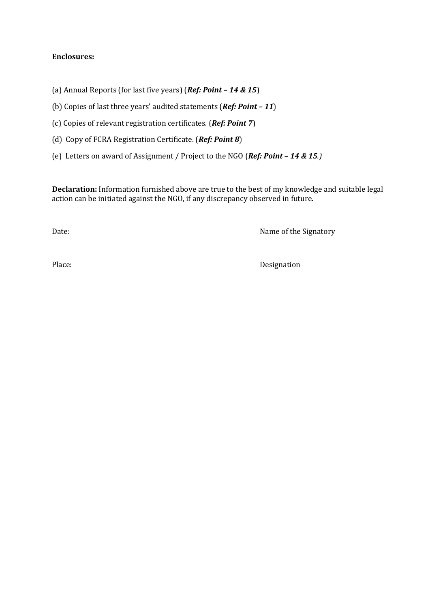# **Enclosures:**

(a) Annual Reports (for last five years) (*Ref: Point – 14 & 15*)

(b) Copies of last three years' audited statements (*Ref: Point – 11*)

(c) Copies of relevant registration certificates. (*Ref: Point 7*)

(d) Copy of FCRA Registration Certificate. (*Ref: Point 8*)

(e) Letters on award of Assignment / Project to the NGO (*Ref: Point – 14 & 15.)*

**Declaration:** Information furnished above are true to the best of my knowledge and suitable legal action can be initiated against the NGO, if any discrepancy observed in future.

Date: Name of the Signatory

Place: Designation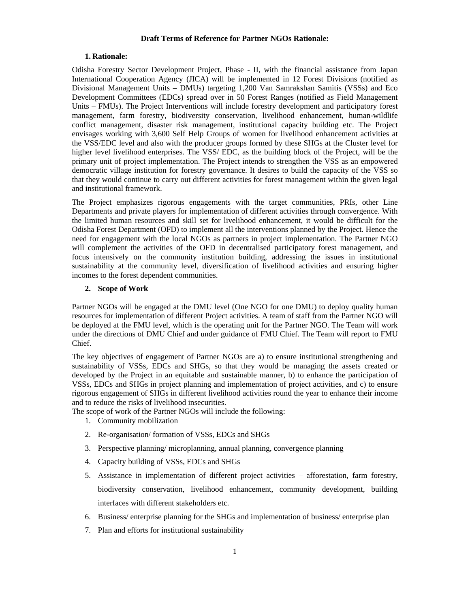#### **Draft Terms of Reference for Partner NGOs Rationale:**

#### **1. Rationale:**

Odisha Forestry Sector Development Project, Phase - II, with the financial assistance from Japan International Cooperation Agency (JICA) will be implemented in 12 Forest Divisions (notified as Divisional Management Units – DMUs) targeting 1,200 Van Samrakshan Samitis (VSSs) and Eco Development Committees (EDCs) spread over in 50 Forest Ranges (notified as Field Management Units – FMUs). The Project Interventions will include forestry development and participatory forest management, farm forestry, biodiversity conservation, livelihood enhancement, human-wildlife conflict management, disaster risk management, institutional capacity building etc. The Project envisages working with 3,600 Self Help Groups of women for livelihood enhancement activities at the VSS/EDC level and also with the producer groups formed by these SHGs at the Cluster level for higher level livelihood enterprises. The VSS/ EDC, as the building block of the Project, will be the primary unit of project implementation. The Project intends to strengthen the VSS as an empowered democratic village institution for forestry governance. It desires to build the capacity of the VSS so that they would continue to carry out different activities for forest management within the given legal and institutional framework.

The Project emphasizes rigorous engagements with the target communities, PRIs, other Line Departments and private players for implementation of different activities through convergence. With the limited human resources and skill set for livelihood enhancement, it would be difficult for the Odisha Forest Department (OFD) to implement all the interventions planned by the Project. Hence the need for engagement with the local NGOs as partners in project implementation. The Partner NGO will complement the activities of the OFD in decentralised participatory forest management, and focus intensively on the community institution building, addressing the issues in institutional sustainability at the community level, diversification of livelihood activities and ensuring higher incomes to the forest dependent communities.

#### **2. Scope of Work**

Partner NGOs will be engaged at the DMU level (One NGO for one DMU) to deploy quality human resources for implementation of different Project activities. A team of staff from the Partner NGO will be deployed at the FMU level, which is the operating unit for the Partner NGO. The Team will work under the directions of DMU Chief and under guidance of FMU Chief. The Team will report to FMU Chief.

The key objectives of engagement of Partner NGOs are a) to ensure institutional strengthening and sustainability of VSSs, EDCs and SHGs, so that they would be managing the assets created or developed by the Project in an equitable and sustainable manner, b) to enhance the participation of VSSs, EDCs and SHGs in project planning and implementation of project activities, and c) to ensure rigorous engagement of SHGs in different livelihood activities round the year to enhance their income and to reduce the risks of livelihood insecurities.

The scope of work of the Partner NGOs will include the following:

- 1. Community mobilization
- 2. Re-organisation/ formation of VSSs, EDCs and SHGs
- 3. Perspective planning/ microplanning, annual planning, convergence planning
- 4. Capacity building of VSSs, EDCs and SHGs
- 5. Assistance in implementation of different project activities afforestation, farm forestry, biodiversity conservation, livelihood enhancement, community development, building interfaces with different stakeholders etc.
- 6. Business/ enterprise planning for the SHGs and implementation of business/ enterprise plan
- 7. Plan and efforts for institutional sustainability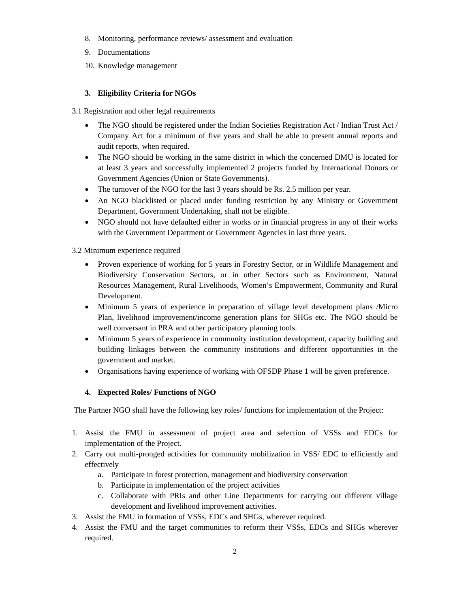- 8. Monitoring, performance reviews/ assessment and evaluation
- 9. Documentations
- 10. Knowledge management

## **3. Eligibility Criteria for NGOs**

3.1 Registration and other legal requirements

- The NGO should be registered under the Indian Societies Registration Act / Indian Trust Act / Company Act for a minimum of five years and shall be able to present annual reports and audit reports, when required.
- The NGO should be working in the same district in which the concerned DMU is located for at least 3 years and successfully implemented 2 projects funded by International Donors or Government Agencies (Union or State Governments).
- The turnover of the NGO for the last 3 years should be Rs. 2.5 million per year.
- An NGO blacklisted or placed under funding restriction by any Ministry or Government Department, Government Undertaking, shall not be eligible.
- NGO should not have defaulted either in works or in financial progress in any of their works with the Government Department or Government Agencies in last three years.

## 3.2 Minimum experience required

- Proven experience of working for 5 years in Forestry Sector, or in Wildlife Management and Biodiversity Conservation Sectors, or in other Sectors such as Environment, Natural Resources Management, Rural Livelihoods, Women's Empowerment, Community and Rural Development.
- Minimum 5 years of experience in preparation of village level development plans /Micro Plan, livelihood improvement/income generation plans for SHGs etc. The NGO should be well conversant in PRA and other participatory planning tools.
- Minimum 5 years of experience in community institution development, capacity building and building linkages between the community institutions and different opportunities in the government and market.
- Organisations having experience of working with OFSDP Phase 1 will be given preference.

## **4. Expected Roles/ Functions of NGO**

The Partner NGO shall have the following key roles/ functions for implementation of the Project:

- 1. Assist the FMU in assessment of project area and selection of VSSs and EDCs for implementation of the Project.
- 2. Carry out multi-pronged activities for community mobilization in VSS/ EDC to efficiently and effectively
	- a. Participate in forest protection, management and biodiversity conservation
	- b. Participate in implementation of the project activities
	- c. Collaborate with PRIs and other Line Departments for carrying out different village development and livelihood improvement activities.
- 3. Assist the FMU in formation of VSSs, EDCs and SHGs, wherever required.
- 4. Assist the FMU and the target communities to reform their VSSs, EDCs and SHGs wherever required.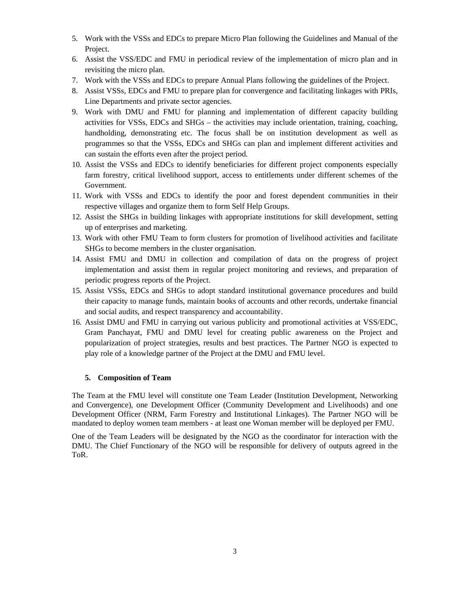- 5. Work with the VSSs and EDCs to prepare Micro Plan following the Guidelines and Manual of the Project.
- 6. Assist the VSS/EDC and FMU in periodical review of the implementation of micro plan and in revisiting the micro plan.
- 7. Work with the VSSs and EDCs to prepare Annual Plans following the guidelines of the Project.
- 8. Assist VSSs, EDCs and FMU to prepare plan for convergence and facilitating linkages with PRIs, Line Departments and private sector agencies.
- 9. Work with DMU and FMU for planning and implementation of different capacity building activities for VSSs, EDCs and SHGs – the activities may include orientation, training, coaching, handholding, demonstrating etc. The focus shall be on institution development as well as programmes so that the VSSs, EDCs and SHGs can plan and implement different activities and can sustain the efforts even after the project period.
- 10. Assist the VSSs and EDCs to identify beneficiaries for different project components especially farm forestry, critical livelihood support, access to entitlements under different schemes of the Government.
- 11. Work with VSSs and EDCs to identify the poor and forest dependent communities in their respective villages and organize them to form Self Help Groups.
- 12. Assist the SHGs in building linkages with appropriate institutions for skill development, setting up of enterprises and marketing.
- 13. Work with other FMU Team to form clusters for promotion of livelihood activities and facilitate SHGs to become members in the cluster organisation.
- 14. Assist FMU and DMU in collection and compilation of data on the progress of project implementation and assist them in regular project monitoring and reviews, and preparation of periodic progress reports of the Project.
- 15. Assist VSSs, EDCs and SHGs to adopt standard institutional governance procedures and build their capacity to manage funds, maintain books of accounts and other records, undertake financial and social audits, and respect transparency and accountability.
- 16. Assist DMU and FMU in carrying out various publicity and promotional activities at VSS/EDC, Gram Panchayat, FMU and DMU level for creating public awareness on the Project and popularization of project strategies, results and best practices. The Partner NGO is expected to play role of a knowledge partner of the Project at the DMU and FMU level.

## **5. Composition of Team**

The Team at the FMU level will constitute one Team Leader (Institution Development, Networking and Convergence), one Development Officer (Community Development and Livelihoods) and one Development Officer (NRM, Farm Forestry and Institutional Linkages). The Partner NGO will be mandated to deploy women team members - at least one Woman member will be deployed per FMU.

One of the Team Leaders will be designated by the NGO as the coordinator for interaction with the DMU. The Chief Functionary of the NGO will be responsible for delivery of outputs agreed in the ToR.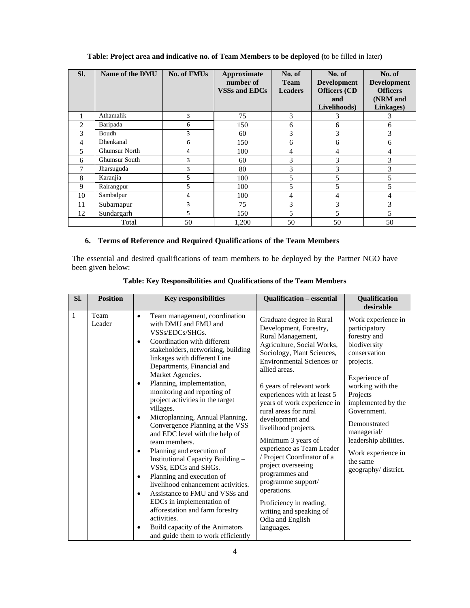| SI. | Name of the DMU      | <b>No. of FMUs</b> | Approximate<br>number of<br><b>VSSs and EDCs</b> | No. of<br><b>Team</b><br><b>Leaders</b> | No. of<br><b>Development</b><br><b>Officers</b> (CD<br>and<br>Livelihoods) | No. of<br><b>Development</b><br><b>Officers</b><br>(NRM and<br>Linkages) |
|-----|----------------------|--------------------|--------------------------------------------------|-----------------------------------------|----------------------------------------------------------------------------|--------------------------------------------------------------------------|
|     | Athamalik            | 3                  | 75                                               | 3                                       | 3                                                                          | 1                                                                        |
| 2   | Baripada             | 6                  | 150                                              | 6                                       | 6                                                                          | 6                                                                        |
| 3   | Boudh                | 3                  | 60                                               | 3                                       | 3                                                                          | 3                                                                        |
| 4   | <b>Dhenkanal</b>     | 6                  | 150                                              | 6                                       | 6                                                                          | 6                                                                        |
| 5   | <b>Ghumsur North</b> | 4                  | 100                                              | 4                                       | 4                                                                          | 4                                                                        |
| 6   | <b>Ghumsur South</b> | 3                  | 60                                               | 3                                       | 3                                                                          | 3                                                                        |
| 7   | Jharsuguda           | 3                  | 80                                               | 3                                       | 3                                                                          | 3                                                                        |
| 8   | Karanjia             | 5.                 | 100                                              | 5                                       | 5                                                                          |                                                                          |
| 9   | Rairangpur           | 5                  | 100                                              | 5                                       | 5                                                                          | 5                                                                        |
| 10  | Sambalpur            | 4                  | 100                                              | 4                                       | 4                                                                          | 4                                                                        |
| 11  | Subarnapur           | 3                  | 75                                               | 3                                       | 3                                                                          | 3                                                                        |
| 12  | Sundargarh           | 5.                 | 150                                              | 5                                       | 5                                                                          | 5                                                                        |
|     | Total                | 50                 | 1,200                                            | 50                                      | 50                                                                         | 50                                                                       |

**Table: Project area and indicative no. of Team Members to be deployed (**to be filled in later**)** 

## **6. Terms of Reference and Required Qualifications of the Team Members**

The essential and desired qualifications of team members to be deployed by the Partner NGO have been given below:

| SI.          | <b>Position</b> | <b>Key responsibilities</b>                                                                                                                                                                                                                                                                                                                                                                                                                                                                                                                                                                                                                                                                                                                                                                                                                                                                                  | <b>Qualification - essential</b>                                                                                                                                                                                                                                                                                                                                                                                                                                                                                                                                                                             | Qualification<br>desirable                                                                                                                                                                                                                                                                              |
|--------------|-----------------|--------------------------------------------------------------------------------------------------------------------------------------------------------------------------------------------------------------------------------------------------------------------------------------------------------------------------------------------------------------------------------------------------------------------------------------------------------------------------------------------------------------------------------------------------------------------------------------------------------------------------------------------------------------------------------------------------------------------------------------------------------------------------------------------------------------------------------------------------------------------------------------------------------------|--------------------------------------------------------------------------------------------------------------------------------------------------------------------------------------------------------------------------------------------------------------------------------------------------------------------------------------------------------------------------------------------------------------------------------------------------------------------------------------------------------------------------------------------------------------------------------------------------------------|---------------------------------------------------------------------------------------------------------------------------------------------------------------------------------------------------------------------------------------------------------------------------------------------------------|
| $\mathbf{1}$ | Team<br>Leader  | Team management, coordination<br>$\bullet$<br>with DMU and FMU and<br>VSSs/EDCs/SHGs.<br>Coordination with different<br>$\bullet$<br>stakeholders, networking, building<br>linkages with different Line<br>Departments, Financial and<br>Market Agencies.<br>Planning, implementation,<br>٠<br>monitoring and reporting of<br>project activities in the target<br>villages.<br>Microplanning, Annual Planning,<br>$\bullet$<br>Convergence Planning at the VSS<br>and EDC level with the help of<br>team members.<br>Planning and execution of<br>$\bullet$<br>Institutional Capacity Building -<br>VSSs, EDCs and SHGs.<br>Planning and execution of<br>$\bullet$<br>livelihood enhancement activities.<br>Assistance to FMU and VSSs and<br>٠<br>EDCs in implementation of<br>afforestation and farm forestry<br>activities.<br>Build capacity of the Animators<br>٠<br>and guide them to work efficiently | Graduate degree in Rural<br>Development, Forestry,<br>Rural Management,<br>Agriculture, Social Works,<br>Sociology, Plant Sciences,<br><b>Environmental Sciences or</b><br>allied areas.<br>6 years of relevant work<br>experiences with at least 5<br>years of work experience in<br>rural areas for rural<br>development and<br>livelihood projects.<br>Minimum 3 years of<br>experience as Team Leader<br>/ Project Coordinator of a<br>project overseeing<br>programmes and<br>programme support/<br>operations.<br>Proficiency in reading,<br>writing and speaking of<br>Odia and English<br>languages. | Work experience in<br>participatory<br>forestry and<br>biodiversity<br>conservation<br>projects.<br>Experience of<br>working with the<br>Projects<br>implemented by the<br>Government.<br>Demonstrated<br>managerial/<br>leadership abilities.<br>Work experience in<br>the same<br>geography/district. |

**Table: Key Responsibilities and Qualifications of the Team Members**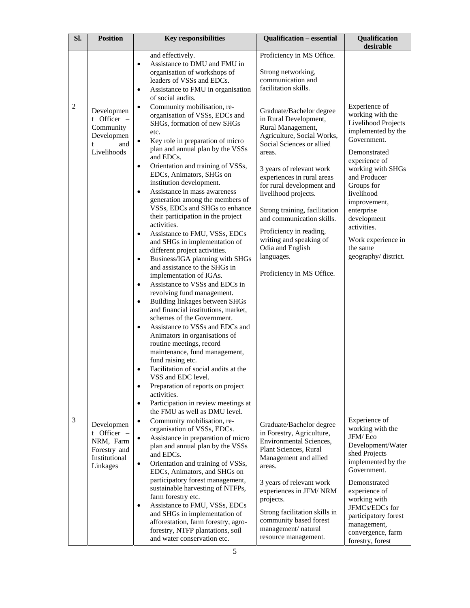| SI.            | <b>Position</b>                                                                     | <b>Key responsibilities</b>                                                                                                                                                                                                                                                                                                                                                                                                                                                                                                                                                                                                                                                                                                                                                                                                                                                                                                                                                                                                                                                                                                                                                                                                                                                                                                           | <b>Qualification - essential</b>                                                                                                                                                                                                                                                                                                                                                                                                              | Qualification<br>desirable                                                                                                                                                                                                                                                                                           |
|----------------|-------------------------------------------------------------------------------------|---------------------------------------------------------------------------------------------------------------------------------------------------------------------------------------------------------------------------------------------------------------------------------------------------------------------------------------------------------------------------------------------------------------------------------------------------------------------------------------------------------------------------------------------------------------------------------------------------------------------------------------------------------------------------------------------------------------------------------------------------------------------------------------------------------------------------------------------------------------------------------------------------------------------------------------------------------------------------------------------------------------------------------------------------------------------------------------------------------------------------------------------------------------------------------------------------------------------------------------------------------------------------------------------------------------------------------------|-----------------------------------------------------------------------------------------------------------------------------------------------------------------------------------------------------------------------------------------------------------------------------------------------------------------------------------------------------------------------------------------------------------------------------------------------|----------------------------------------------------------------------------------------------------------------------------------------------------------------------------------------------------------------------------------------------------------------------------------------------------------------------|
|                |                                                                                     | and effectively.<br>Assistance to DMU and FMU in<br>$\bullet$<br>organisation of workshops of<br>leaders of VSSs and EDCs.<br>Assistance to FMU in organisation<br>$\bullet$<br>of social audits.                                                                                                                                                                                                                                                                                                                                                                                                                                                                                                                                                                                                                                                                                                                                                                                                                                                                                                                                                                                                                                                                                                                                     | Proficiency in MS Office.<br>Strong networking,<br>communication and<br>facilitation skills.                                                                                                                                                                                                                                                                                                                                                  |                                                                                                                                                                                                                                                                                                                      |
| $\overline{2}$ | Developmen<br>t Officer -<br>Community<br>Developmen<br>and<br>t<br>Livelihoods     | Community mobilisation, re-<br>$\bullet$<br>organisation of VSSs, EDCs and<br>SHGs, formation of new SHGs<br>etc.<br>Key role in preparation of micro<br>$\bullet$<br>plan and annual plan by the VSSs<br>and EDCs.<br>Orientation and training of VSSs,<br>$\bullet$<br>EDCs, Animators, SHGs on<br>institution development.<br>Assistance in mass awareness<br>$\bullet$<br>generation among the members of<br>VSSs, EDCs and SHGs to enhance<br>their participation in the project<br>activities.<br>Assistance to FMU, VSSs, EDCs<br>$\bullet$<br>and SHGs in implementation of<br>different project activities.<br>Business/IGA planning with SHGs<br>$\bullet$<br>and assistance to the SHGs in<br>implementation of IGAs.<br>Assistance to VSSs and EDCs in<br>$\bullet$<br>revolving fund management.<br>Building linkages between SHGs<br>$\bullet$<br>and financial institutions, market,<br>schemes of the Government.<br>Assistance to VSSs and EDCs and<br>$\bullet$<br>Animators in organisations of<br>routine meetings, record<br>maintenance, fund management,<br>fund raising etc.<br>Facilitation of social audits at the<br>$\bullet$<br>VSS and EDC level.<br>Preparation of reports on project<br>$\bullet$<br>activities.<br>Participation in review meetings at<br>$\bullet$<br>the FMU as well as DMU level. | Graduate/Bachelor degree<br>in Rural Development,<br>Rural Management,<br>Agriculture, Social Works,<br>Social Sciences or allied<br>areas.<br>3 years of relevant work<br>experiences in rural areas<br>for rural development and<br>livelihood projects.<br>Strong training, facilitation<br>and communication skills.<br>Proficiency in reading,<br>writing and speaking of<br>Odia and English<br>languages.<br>Proficiency in MS Office. | Experience of<br>working with the<br>Livelihood Projects<br>implemented by the<br>Government.<br>Demonstrated<br>experience of<br>working with SHGs<br>and Producer<br>Groups for<br>livelihood<br>improvement,<br>enterprise<br>development<br>activities.<br>Work experience in<br>the same<br>geography/district. |
| 3              | Developmen<br>t Officer -<br>NRM, Farm<br>Forestry and<br>Institutional<br>Linkages | Community mobilisation, re-<br>$\bullet$<br>organisation of VSSs, EDCs.<br>Assistance in preparation of micro<br>$\bullet$<br>plan and annual plan by the VSSs<br>and EDCs.<br>Orientation and training of VSSs,<br>$\bullet$<br>EDCs, Animators, and SHGs on<br>participatory forest management,<br>sustainable harvesting of NTFPs,<br>farm forestry etc.<br>Assistance to FMU, VSSs, EDCs<br>$\bullet$<br>and SHGs in implementation of<br>afforestation, farm forestry, agro-<br>forestry, NTFP plantations, soil<br>and water conservation etc.                                                                                                                                                                                                                                                                                                                                                                                                                                                                                                                                                                                                                                                                                                                                                                                  | Graduate/Bachelor degree<br>in Forestry, Agriculture,<br><b>Environmental Sciences,</b><br>Plant Sciences, Rural<br>Management and allied<br>areas.<br>3 years of relevant work<br>experiences in JFM/NRM<br>projects.<br>Strong facilitation skills in<br>community based forest<br>management/natural<br>resource management.                                                                                                               | Experience of<br>working with the<br>JFM/Eco<br>Development/Water<br>shed Projects<br>implemented by the<br>Government.<br>Demonstrated<br>experience of<br>working with<br>JFMCs/EDCs for<br>participatory forest<br>management,<br>convergence, farm<br>forestry, forest                                           |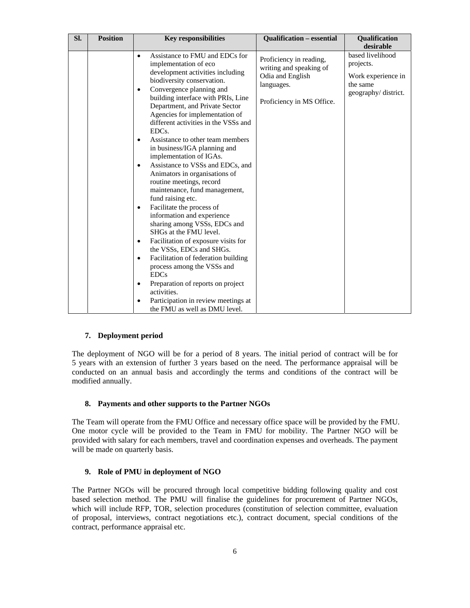| SI. | <b>Position</b> | <b>Key responsibilities</b>                                                                                                                                                                                                                                                                                                                                                                                                                                                                                                                                                                                                                                                                                                                                                                                                                                                                                                                                                                                                                                 | <b>Qualification - essential</b>                                                                                  | Qualification<br>desirable                                                             |
|-----|-----------------|-------------------------------------------------------------------------------------------------------------------------------------------------------------------------------------------------------------------------------------------------------------------------------------------------------------------------------------------------------------------------------------------------------------------------------------------------------------------------------------------------------------------------------------------------------------------------------------------------------------------------------------------------------------------------------------------------------------------------------------------------------------------------------------------------------------------------------------------------------------------------------------------------------------------------------------------------------------------------------------------------------------------------------------------------------------|-------------------------------------------------------------------------------------------------------------------|----------------------------------------------------------------------------------------|
|     |                 | Assistance to FMU and EDCs for<br>$\bullet$<br>implementation of eco<br>development activities including<br>biodiversity conservation.<br>Convergence planning and<br>٠<br>building interface with PRIs, Line<br>Department, and Private Sector<br>Agencies for implementation of<br>different activities in the VSSs and<br>EDC <sub>s</sub> .<br>Assistance to other team members<br>٠<br>in business/IGA planning and<br>implementation of IGAs.<br>Assistance to VSSs and EDCs, and<br>٠<br>Animators in organisations of<br>routine meetings, record<br>maintenance, fund management,<br>fund raising etc.<br>Facilitate the process of<br>٠<br>information and experience<br>sharing among VSSs, EDCs and<br>SHGs at the FMU level.<br>Facilitation of exposure visits for<br>٠<br>the VSSs, EDCs and SHGs.<br>Facilitation of federation building<br>$\bullet$<br>process among the VSSs and<br><b>EDCs</b><br>Preparation of reports on project<br>$\bullet$<br>activities.<br>Participation in review meetings at<br>the FMU as well as DMU level. | Proficiency in reading,<br>writing and speaking of<br>Odia and English<br>languages.<br>Proficiency in MS Office. | based livelihood<br>projects.<br>Work experience in<br>the same<br>geography/district. |

### **7. Deployment period**

The deployment of NGO will be for a period of 8 years. The initial period of contract will be for 5 years with an extension of further 3 years based on the need. The performance appraisal will be conducted on an annual basis and accordingly the terms and conditions of the contract will be modified annually.

#### **8. Payments and other supports to the Partner NGOs**

The Team will operate from the FMU Office and necessary office space will be provided by the FMU. One motor cycle will be provided to the Team in FMU for mobility. The Partner NGO will be provided with salary for each members, travel and coordination expenses and overheads. The payment will be made on quarterly basis.

#### **9. Role of PMU in deployment of NGO**

The Partner NGOs will be procured through local competitive bidding following quality and cost based selection method. The PMU will finalise the guidelines for procurement of Partner NGOs, which will include RFP, TOR, selection procedures (constitution of selection committee, evaluation of proposal, interviews, contract negotiations etc.), contract document, special conditions of the contract, performance appraisal etc.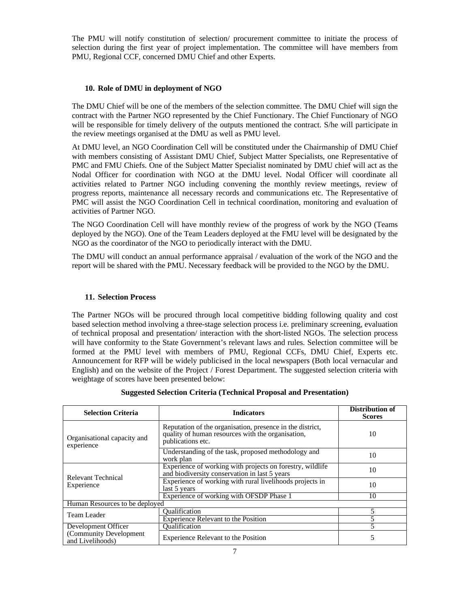The PMU will notify constitution of selection/ procurement committee to initiate the process of selection during the first year of project implementation. The committee will have members from PMU, Regional CCF, concerned DMU Chief and other Experts.

### **10. Role of DMU in deployment of NGO**

The DMU Chief will be one of the members of the selection committee. The DMU Chief will sign the contract with the Partner NGO represented by the Chief Functionary. The Chief Functionary of NGO will be responsible for timely delivery of the outputs mentioned the contract. S/he will participate in the review meetings organised at the DMU as well as PMU level.

At DMU level, an NGO Coordination Cell will be constituted under the Chairmanship of DMU Chief with members consisting of Assistant DMU Chief, Subject Matter Specialists, one Representative of PMC and FMU Chiefs. One of the Subject Matter Specialist nominated by DMU chief will act as the Nodal Officer for coordination with NGO at the DMU level. Nodal Officer will coordinate all activities related to Partner NGO including convening the monthly review meetings, review of progress reports, maintenance all necessary records and communications etc. The Representative of PMC will assist the NGO Coordination Cell in technical coordination, monitoring and evaluation of activities of Partner NGO.

The NGO Coordination Cell will have monthly review of the progress of work by the NGO (Teams deployed by the NGO). One of the Team Leaders deployed at the FMU level will be designated by the NGO as the coordinator of the NGO to periodically interact with the DMU.

The DMU will conduct an annual performance appraisal / evaluation of the work of the NGO and the report will be shared with the PMU. Necessary feedback will be provided to the NGO by the DMU.

#### **11. Selection Process**

The Partner NGOs will be procured through local competitive bidding following quality and cost based selection method involving a three-stage selection process i.e. preliminary screening, evaluation of technical proposal and presentation/ interaction with the short-listed NGOs. The selection process will have conformity to the State Government's relevant laws and rules. Selection committee will be formed at the PMU level with members of PMU, Regional CCFs, DMU Chief, Experts etc. Announcement for RFP will be widely publicised in the local newspapers (Both local vernacular and English) and on the website of the Project / Forest Department. The suggested selection criteria with weightage of scores have been presented below:

| <b>Selection Criteria</b>                   | <b>Indicators</b>                                                                                                                   | Distribution of<br><b>Scores</b> |
|---------------------------------------------|-------------------------------------------------------------------------------------------------------------------------------------|----------------------------------|
| Organisational capacity and<br>experience   | Reputation of the organisation, presence in the district,<br>quality of human resources with the organisation,<br>publications etc. | 10                               |
|                                             | Understanding of the task, proposed methodology and<br>work plan                                                                    | 10                               |
|                                             | Experience of working with projects on forestry, wildlife<br>and biodiversity conservation in last 5 years                          | 10                               |
| Relevant Technical<br>Experience            | Experience of working with rural livelihoods projects in<br>last 5 years                                                            | 10                               |
|                                             | Experience of working with OFSDP Phase 1                                                                                            | 10                               |
| Human Resources to be deployed              |                                                                                                                                     |                                  |
| Team Leader                                 | <b>Oualification</b>                                                                                                                |                                  |
|                                             | <b>Experience Relevant to the Position</b>                                                                                          |                                  |
| Development Officer                         | <b>Oualification</b>                                                                                                                |                                  |
| (Community Development)<br>and Livelihoods) | Experience Relevant to the Position                                                                                                 |                                  |

### **Suggested Selection Criteria (Technical Proposal and Presentation)**